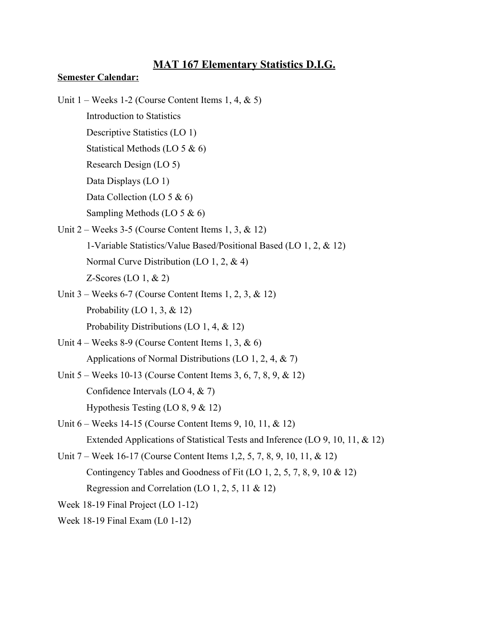# **MAT 167 Elementary Statistics D.I.G.**

#### **Semester Calendar:**

- Unit  $1 \text{Weeks } 1-2$  (Course Content Items 1, 4, & 5)
	- Introduction to Statistics
	- Descriptive Statistics (LO 1)
	- Statistical Methods (LO 5 & 6)
	- Research Design (LO 5)
	- Data Displays (LO 1)
	- Data Collection (LO 5 & 6)
	- Sampling Methods (LO 5 & 6)
- Unit  $2$  Weeks 3-5 (Course Content Items 1, 3, & 12) 1Variable Statistics/Value Based/Positional Based (LO 1, 2, & 12) Normal Curve Distribution (LO 1, 2, & 4)
	- $Z-Scores$  (LO 1,  $& 2)$ )
- Unit  $3$  Weeks 6-7 (Course Content Items 1, 2, 3, & 12) Probability (LO 1, 3,  $& 12$ )
	- Probability Distributions (LO 1, 4, & 12)
- Unit  $4$  Weeks 8-9 (Course Content Items 1, 3, & 6) Applications of Normal Distributions (LO 1, 2, 4, & 7)
- Unit  $5 -$  Weeks 10-13 (Course Content Items 3, 6, 7, 8, 9, & 12) Confidence Intervals (LO 4, & 7) Hypothesis Testing (LO 8, 9 & 12)
- Unit 6 Weeks 14-15 (Course Content Items 9, 10, 11, & 12) Extended Applications of Statistical Tests and Inference (LO 9, 10, 11, & 12)
- Unit 7 Week 16-17 (Course Content Items 1,2, 5, 7, 8, 9, 10, 11, & 12) Contingency Tables and Goodness of Fit (LO 1, 2, 5, 7, 8, 9, 10 & 12) Regression and Correlation (LO 1, 2, 5, 11 & 12)
- Week 18-19 Final Project  $(LO 1-12)$
- Week  $18-19$  Final Exam (L0 1-12)